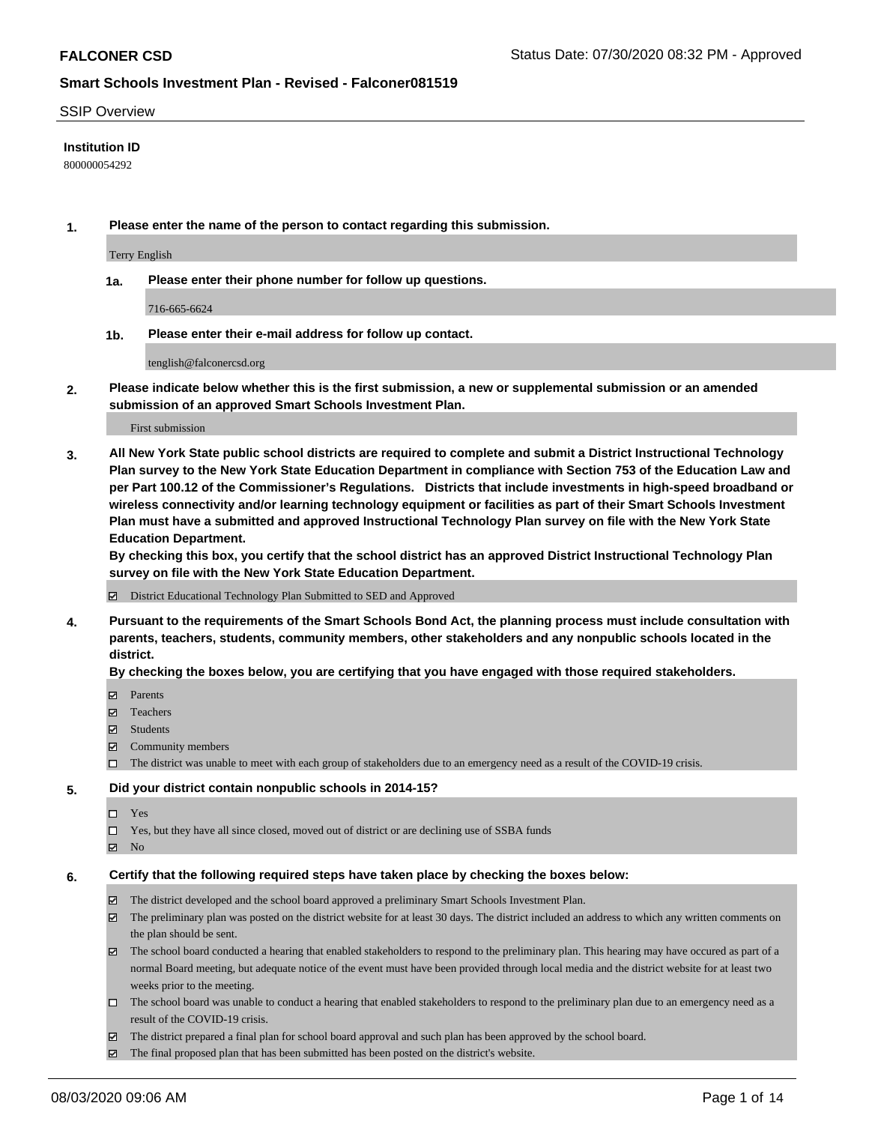#### SSIP Overview

#### **Institution ID**

800000054292

**1. Please enter the name of the person to contact regarding this submission.**

Terry English

**1a. Please enter their phone number for follow up questions.**

716-665-6624

**1b. Please enter their e-mail address for follow up contact.**

tenglish@falconercsd.org

**2. Please indicate below whether this is the first submission, a new or supplemental submission or an amended submission of an approved Smart Schools Investment Plan.**

#### First submission

**3. All New York State public school districts are required to complete and submit a District Instructional Technology Plan survey to the New York State Education Department in compliance with Section 753 of the Education Law and per Part 100.12 of the Commissioner's Regulations. Districts that include investments in high-speed broadband or wireless connectivity and/or learning technology equipment or facilities as part of their Smart Schools Investment Plan must have a submitted and approved Instructional Technology Plan survey on file with the New York State Education Department.** 

**By checking this box, you certify that the school district has an approved District Instructional Technology Plan survey on file with the New York State Education Department.**

District Educational Technology Plan Submitted to SED and Approved

**4. Pursuant to the requirements of the Smart Schools Bond Act, the planning process must include consultation with parents, teachers, students, community members, other stakeholders and any nonpublic schools located in the district.** 

#### **By checking the boxes below, you are certifying that you have engaged with those required stakeholders.**

- **□** Parents
- Teachers
- Students
- $\boxtimes$  Community members
- The district was unable to meet with each group of stakeholders due to an emergency need as a result of the COVID-19 crisis.

#### **5. Did your district contain nonpublic schools in 2014-15?**

- $\neg$  Yes
- Yes, but they have all since closed, moved out of district or are declining use of SSBA funds
- **Z** No

#### **6. Certify that the following required steps have taken place by checking the boxes below:**

- The district developed and the school board approved a preliminary Smart Schools Investment Plan.
- $\boxtimes$  The preliminary plan was posted on the district website for at least 30 days. The district included an address to which any written comments on the plan should be sent.
- $\boxtimes$  The school board conducted a hearing that enabled stakeholders to respond to the preliminary plan. This hearing may have occured as part of a normal Board meeting, but adequate notice of the event must have been provided through local media and the district website for at least two weeks prior to the meeting.
- The school board was unable to conduct a hearing that enabled stakeholders to respond to the preliminary plan due to an emergency need as a result of the COVID-19 crisis.
- The district prepared a final plan for school board approval and such plan has been approved by the school board.
- $\boxtimes$  The final proposed plan that has been submitted has been posted on the district's website.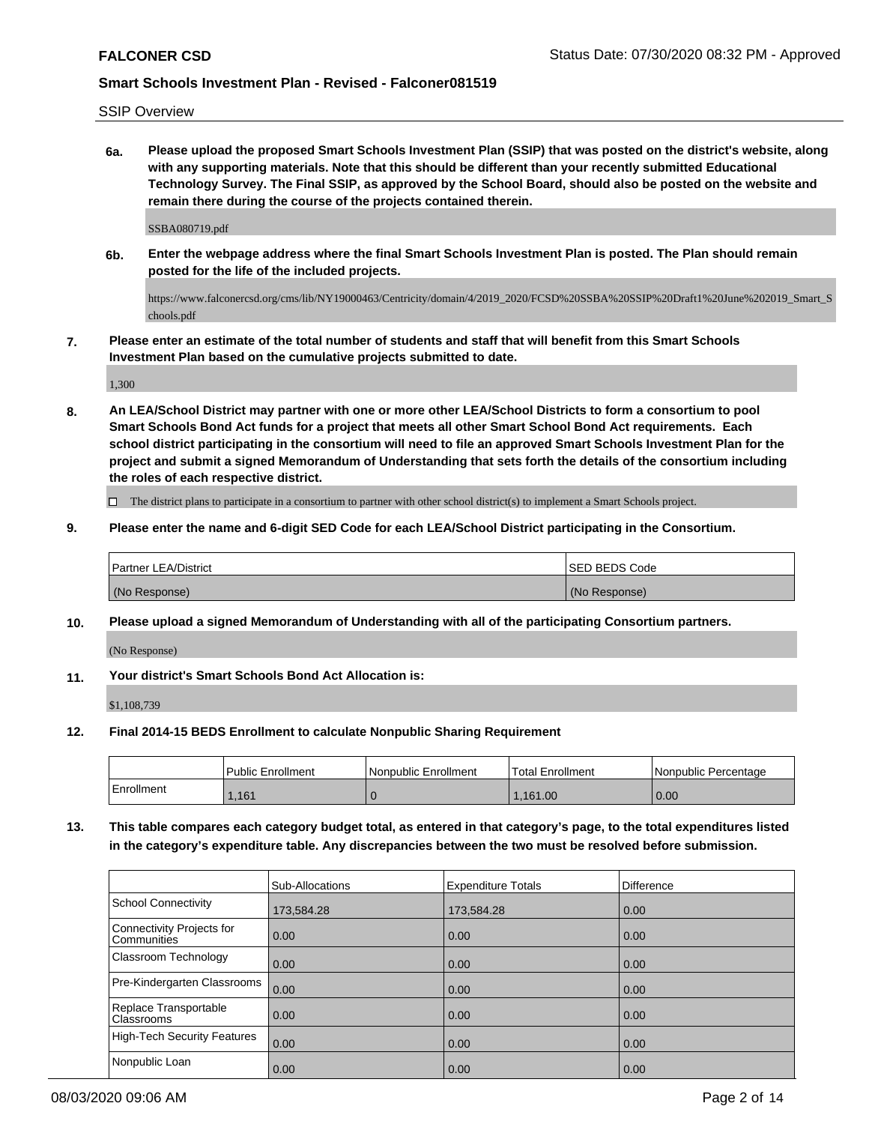SSIP Overview

**6a. Please upload the proposed Smart Schools Investment Plan (SSIP) that was posted on the district's website, along with any supporting materials. Note that this should be different than your recently submitted Educational Technology Survey. The Final SSIP, as approved by the School Board, should also be posted on the website and remain there during the course of the projects contained therein.**

SSBA080719.pdf

**6b. Enter the webpage address where the final Smart Schools Investment Plan is posted. The Plan should remain posted for the life of the included projects.**

https://www.falconercsd.org/cms/lib/NY19000463/Centricity/domain/4/2019\_2020/FCSD%20SSBA%20SSIP%20Draft1%20June%202019\_Smart\_S chools.pdf

**7. Please enter an estimate of the total number of students and staff that will benefit from this Smart Schools Investment Plan based on the cumulative projects submitted to date.**

1,300

**8. An LEA/School District may partner with one or more other LEA/School Districts to form a consortium to pool Smart Schools Bond Act funds for a project that meets all other Smart School Bond Act requirements. Each school district participating in the consortium will need to file an approved Smart Schools Investment Plan for the project and submit a signed Memorandum of Understanding that sets forth the details of the consortium including the roles of each respective district.**

 $\Box$  The district plans to participate in a consortium to partner with other school district(s) to implement a Smart Schools project.

**9. Please enter the name and 6-digit SED Code for each LEA/School District participating in the Consortium.**

| Partner LEA/District | <b>ISED BEDS Code</b> |
|----------------------|-----------------------|
| (No Response)        | (No Response)         |

**10. Please upload a signed Memorandum of Understanding with all of the participating Consortium partners.**

(No Response)

**11. Your district's Smart Schools Bond Act Allocation is:**

\$1,108,739

**12. Final 2014-15 BEDS Enrollment to calculate Nonpublic Sharing Requirement**

|            | <b>Public Enrollment</b> | Nonpublic Enrollment | 'Total Enrollment | l Nonpublic Percentage |
|------------|--------------------------|----------------------|-------------------|------------------------|
| Enrollment | ,161                     |                      | .161.00           | 0.00                   |

**13. This table compares each category budget total, as entered in that category's page, to the total expenditures listed in the category's expenditure table. Any discrepancies between the two must be resolved before submission.**

|                                                 | Sub-Allocations | <b>Expenditure Totals</b> | <b>Difference</b> |
|-------------------------------------------------|-----------------|---------------------------|-------------------|
| School Connectivity                             | 173,584.28      | 173,584.28                | 0.00              |
| Connectivity Projects for<br><b>Communities</b> | 0.00            | 0.00                      | 0.00              |
| Classroom Technology                            | 0.00            | 0.00                      | 0.00              |
| Pre-Kindergarten Classrooms                     | 0.00            | 0.00                      | 0.00              |
| Replace Transportable<br>Classrooms             | 0.00            | 0.00                      | 0.00              |
| High-Tech Security Features                     | 0.00            | 0.00                      | 0.00              |
| Nonpublic Loan                                  | 0.00            | 0.00                      | 0.00              |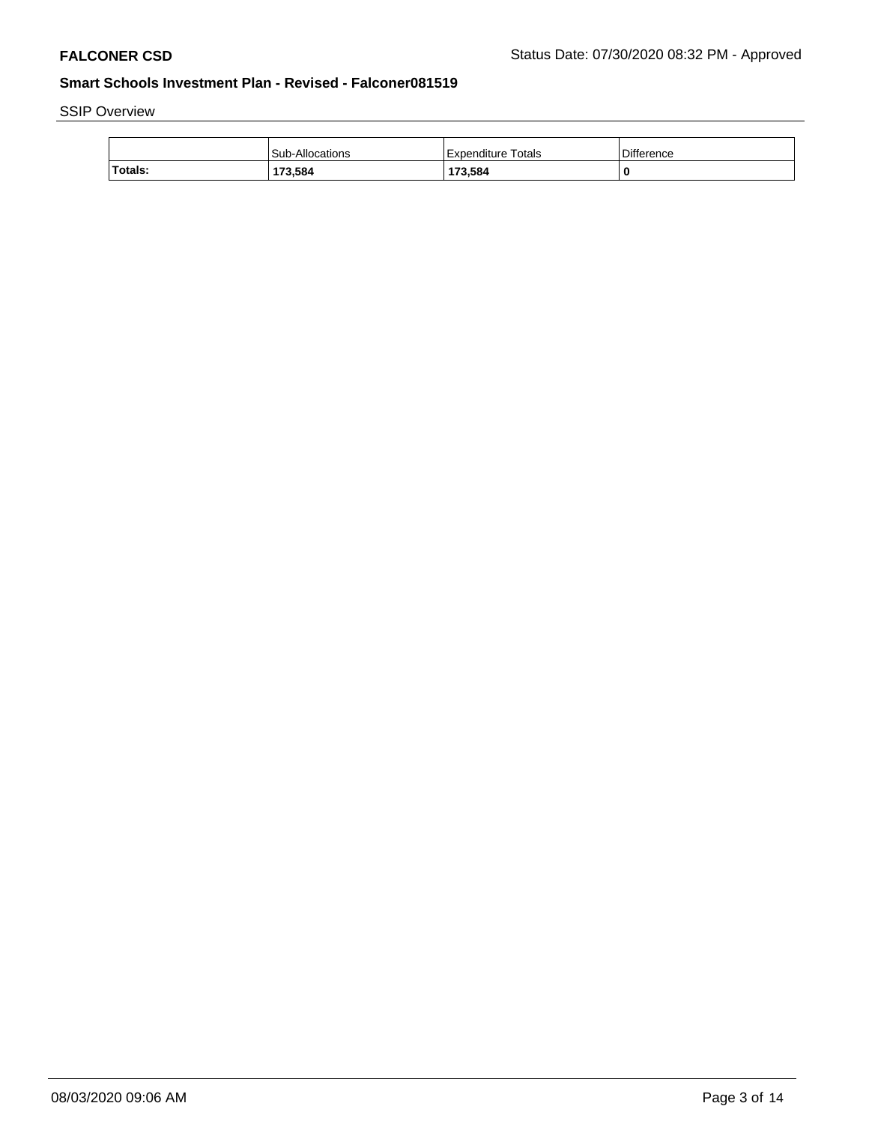# SSIP Overview

|         | Sub-Allocations | Expenditure Totals | <b>Difference</b> |
|---------|-----------------|--------------------|-------------------|
| Totals: | 173,584         | 173,584            | -U                |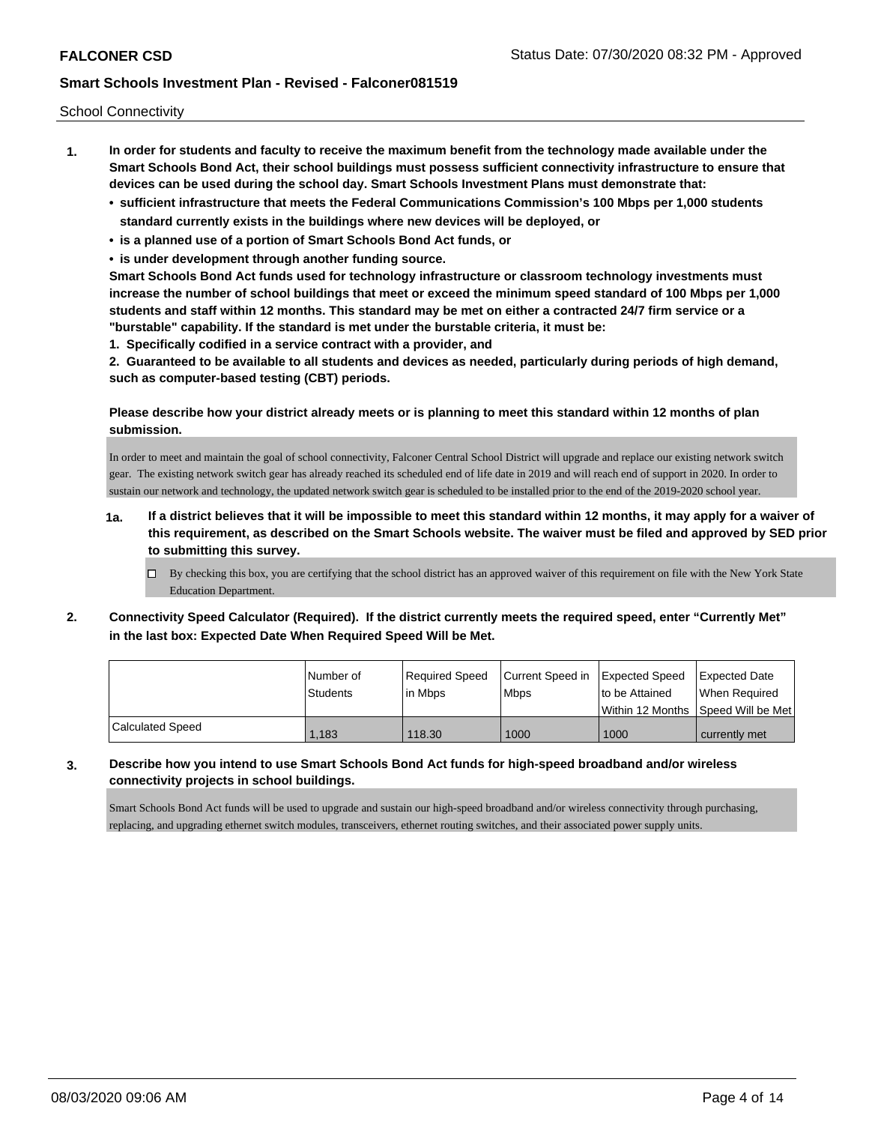School Connectivity

- **1. In order for students and faculty to receive the maximum benefit from the technology made available under the Smart Schools Bond Act, their school buildings must possess sufficient connectivity infrastructure to ensure that devices can be used during the school day. Smart Schools Investment Plans must demonstrate that:**
	- **• sufficient infrastructure that meets the Federal Communications Commission's 100 Mbps per 1,000 students standard currently exists in the buildings where new devices will be deployed, or**
	- **• is a planned use of a portion of Smart Schools Bond Act funds, or**
	- **• is under development through another funding source.**

**Smart Schools Bond Act funds used for technology infrastructure or classroom technology investments must increase the number of school buildings that meet or exceed the minimum speed standard of 100 Mbps per 1,000 students and staff within 12 months. This standard may be met on either a contracted 24/7 firm service or a "burstable" capability. If the standard is met under the burstable criteria, it must be:**

**1. Specifically codified in a service contract with a provider, and**

**2. Guaranteed to be available to all students and devices as needed, particularly during periods of high demand, such as computer-based testing (CBT) periods.**

#### **Please describe how your district already meets or is planning to meet this standard within 12 months of plan submission.**

In order to meet and maintain the goal of school connectivity, Falconer Central School District will upgrade and replace our existing network switch gear. The existing network switch gear has already reached its scheduled end of life date in 2019 and will reach end of support in 2020. In order to sustain our network and technology, the updated network switch gear is scheduled to be installed prior to the end of the 2019-2020 school year.

- **1a. If a district believes that it will be impossible to meet this standard within 12 months, it may apply for a waiver of this requirement, as described on the Smart Schools website. The waiver must be filed and approved by SED prior to submitting this survey.**
	- $\Box$  By checking this box, you are certifying that the school district has an approved waiver of this requirement on file with the New York State Education Department.
- **2. Connectivity Speed Calculator (Required). If the district currently meets the required speed, enter "Currently Met" in the last box: Expected Date When Required Speed Will be Met.**

|                  | Number of<br><b>Students</b> | Required Speed<br>lin Mbps | Current Speed in Expected Speed<br><b>Mbps</b> | I to be Attained                    | Expected Date<br>When Reauired |
|------------------|------------------------------|----------------------------|------------------------------------------------|-------------------------------------|--------------------------------|
|                  |                              |                            |                                                | Within 12 Months 1Speed Will be Met |                                |
| Calculated Speed | 1.183                        | 118.30                     | 1000                                           | 1000                                | currently met                  |

# **3. Describe how you intend to use Smart Schools Bond Act funds for high-speed broadband and/or wireless connectivity projects in school buildings.**

Smart Schools Bond Act funds will be used to upgrade and sustain our high-speed broadband and/or wireless connectivity through purchasing, replacing, and upgrading ethernet switch modules, transceivers, ethernet routing switches, and their associated power supply units.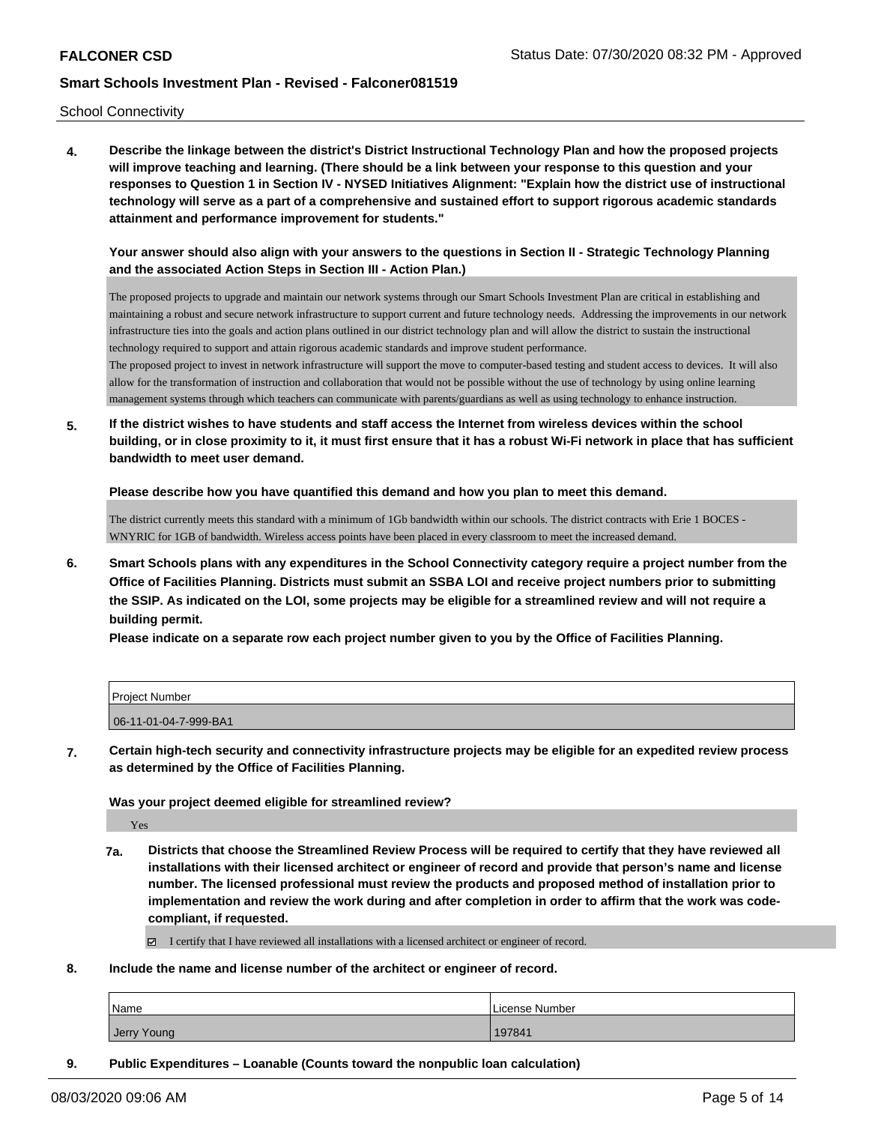School Connectivity

**4. Describe the linkage between the district's District Instructional Technology Plan and how the proposed projects will improve teaching and learning. (There should be a link between your response to this question and your responses to Question 1 in Section IV - NYSED Initiatives Alignment: "Explain how the district use of instructional technology will serve as a part of a comprehensive and sustained effort to support rigorous academic standards attainment and performance improvement for students."** 

**Your answer should also align with your answers to the questions in Section II - Strategic Technology Planning and the associated Action Steps in Section III - Action Plan.)**

The proposed projects to upgrade and maintain our network systems through our Smart Schools Investment Plan are critical in establishing and maintaining a robust and secure network infrastructure to support current and future technology needs. Addressing the improvements in our network infrastructure ties into the goals and action plans outlined in our district technology plan and will allow the district to sustain the instructional technology required to support and attain rigorous academic standards and improve student performance.

The proposed project to invest in network infrastructure will support the move to computer-based testing and student access to devices. It will also allow for the transformation of instruction and collaboration that would not be possible without the use of technology by using online learning management systems through which teachers can communicate with parents/guardians as well as using technology to enhance instruction.

**5. If the district wishes to have students and staff access the Internet from wireless devices within the school building, or in close proximity to it, it must first ensure that it has a robust Wi-Fi network in place that has sufficient bandwidth to meet user demand.**

**Please describe how you have quantified this demand and how you plan to meet this demand.**

The district currently meets this standard with a minimum of 1Gb bandwidth within our schools. The district contracts with Erie 1 BOCES - WNYRIC for 1GB of bandwidth. Wireless access points have been placed in every classroom to meet the increased demand.

**6. Smart Schools plans with any expenditures in the School Connectivity category require a project number from the Office of Facilities Planning. Districts must submit an SSBA LOI and receive project numbers prior to submitting the SSIP. As indicated on the LOI, some projects may be eligible for a streamlined review and will not require a building permit.**

**Please indicate on a separate row each project number given to you by the Office of Facilities Planning.**

| Project Number        |  |
|-----------------------|--|
| 06-11-01-04-7-999-BA1 |  |

**7. Certain high-tech security and connectivity infrastructure projects may be eligible for an expedited review process as determined by the Office of Facilities Planning.**

**Was your project deemed eligible for streamlined review?**

Yes

- **7a. Districts that choose the Streamlined Review Process will be required to certify that they have reviewed all installations with their licensed architect or engineer of record and provide that person's name and license number. The licensed professional must review the products and proposed method of installation prior to implementation and review the work during and after completion in order to affirm that the work was codecompliant, if requested.**
	- $\Box$  I certify that I have reviewed all installations with a licensed architect or engineer of record.
- **8. Include the name and license number of the architect or engineer of record.**

| Name        | License Number |
|-------------|----------------|
| Jerry Young | 197841         |

**9. Public Expenditures – Loanable (Counts toward the nonpublic loan calculation)**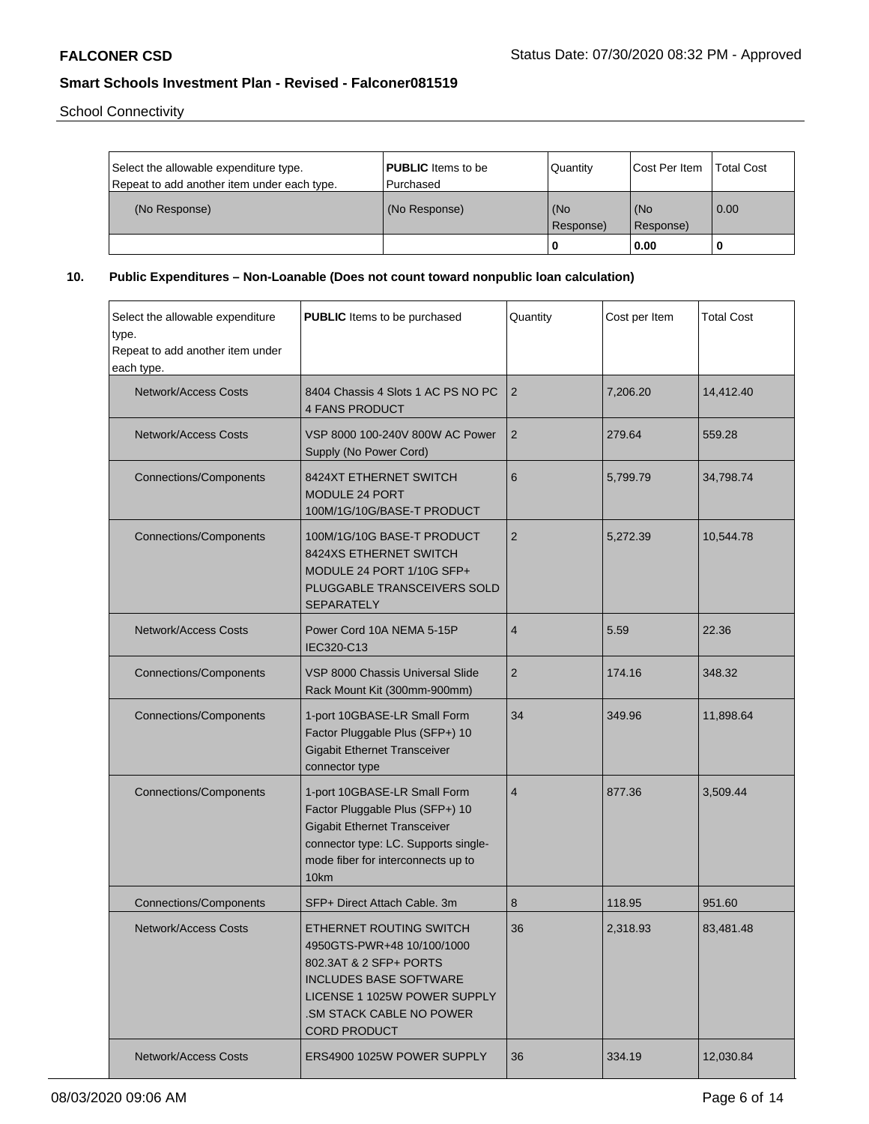School Connectivity

| Select the allowable expenditure type.<br>Repeat to add another item under each type. | <b>PUBLIC</b> Items to be<br>l Purchased | Quantity         | <b>Cost Per Item</b> | Total Cost        |
|---------------------------------------------------------------------------------------|------------------------------------------|------------------|----------------------|-------------------|
| (No Response)                                                                         | (No Response)                            | (No<br>Response) | l (No<br>Response)   | $\overline{0.00}$ |
|                                                                                       |                                          | 0                | 0.00                 |                   |

**10. Public Expenditures – Non-Loanable (Does not count toward nonpublic loan calculation)**

| Select the allowable expenditure<br>type.<br>Repeat to add another item under<br>each type. | <b>PUBLIC</b> Items to be purchased<br>Quantity                                                                                                                                                            |                         | Cost per Item | <b>Total Cost</b> |
|---------------------------------------------------------------------------------------------|------------------------------------------------------------------------------------------------------------------------------------------------------------------------------------------------------------|-------------------------|---------------|-------------------|
| <b>Network/Access Costs</b>                                                                 | 8404 Chassis 4 Slots 1 AC PS NO PC<br><b>4 FANS PRODUCT</b>                                                                                                                                                | 2                       | 7,206.20      | 14,412.40         |
| <b>Network/Access Costs</b>                                                                 | VSP 8000 100-240V 800W AC Power<br>Supply (No Power Cord)                                                                                                                                                  | $\overline{2}$          | 279.64        | 559.28            |
| <b>Connections/Components</b>                                                               | 8424XT ETHERNET SWITCH<br>MODULE 24 PORT<br>100M/1G/10G/BASE-T PRODUCT                                                                                                                                     | 6                       | 5,799.79      | 34,798.74         |
| <b>Connections/Components</b>                                                               | 100M/1G/10G BASE-T PRODUCT<br>8424XS ETHERNET SWITCH<br>MODULE 24 PORT 1/10G SFP+<br>PLUGGABLE TRANSCEIVERS SOLD<br><b>SEPARATELY</b>                                                                      | $\overline{2}$          | 5,272.39      | 10,544.78         |
| Network/Access Costs                                                                        | Power Cord 10A NEMA 5-15P<br>IEC320-C13                                                                                                                                                                    | $\overline{4}$          | 5.59          | 22.36             |
| <b>Connections/Components</b>                                                               | VSP 8000 Chassis Universal Slide<br>Rack Mount Kit (300mm-900mm)                                                                                                                                           | $\overline{2}$          | 174.16        | 348.32            |
| <b>Connections/Components</b>                                                               | 1-port 10GBASE-LR Small Form<br>Factor Pluggable Plus (SFP+) 10<br><b>Gigabit Ethernet Transceiver</b><br>connector type                                                                                   | 34                      | 349.96        | 11,898.64         |
| <b>Connections/Components</b>                                                               | 1-port 10GBASE-LR Small Form<br>Factor Pluggable Plus (SFP+) 10<br><b>Gigabit Ethernet Transceiver</b><br>connector type: LC. Supports single-<br>mode fiber for interconnects up to<br>10km               | $\overline{\mathbf{4}}$ | 877.36        | 3,509.44          |
| <b>Connections/Components</b>                                                               | SFP+ Direct Attach Cable. 3m                                                                                                                                                                               | 8                       | 118.95        | 951.60            |
| <b>Network/Access Costs</b>                                                                 | ETHERNET ROUTING SWITCH<br>4950GTS-PWR+48 10/100/1000<br>802.3AT & 2 SFP+ PORTS<br><b>INCLUDES BASE SOFTWARE</b><br>LICENSE 1 1025W POWER SUPPLY<br><b>.SM STACK CABLE NO POWER</b><br><b>CORD PRODUCT</b> | 36                      | 2,318.93      | 83,481.48         |
| <b>Network/Access Costs</b>                                                                 | ERS4900 1025W POWER SUPPLY                                                                                                                                                                                 | 36                      | 334.19        | 12,030.84         |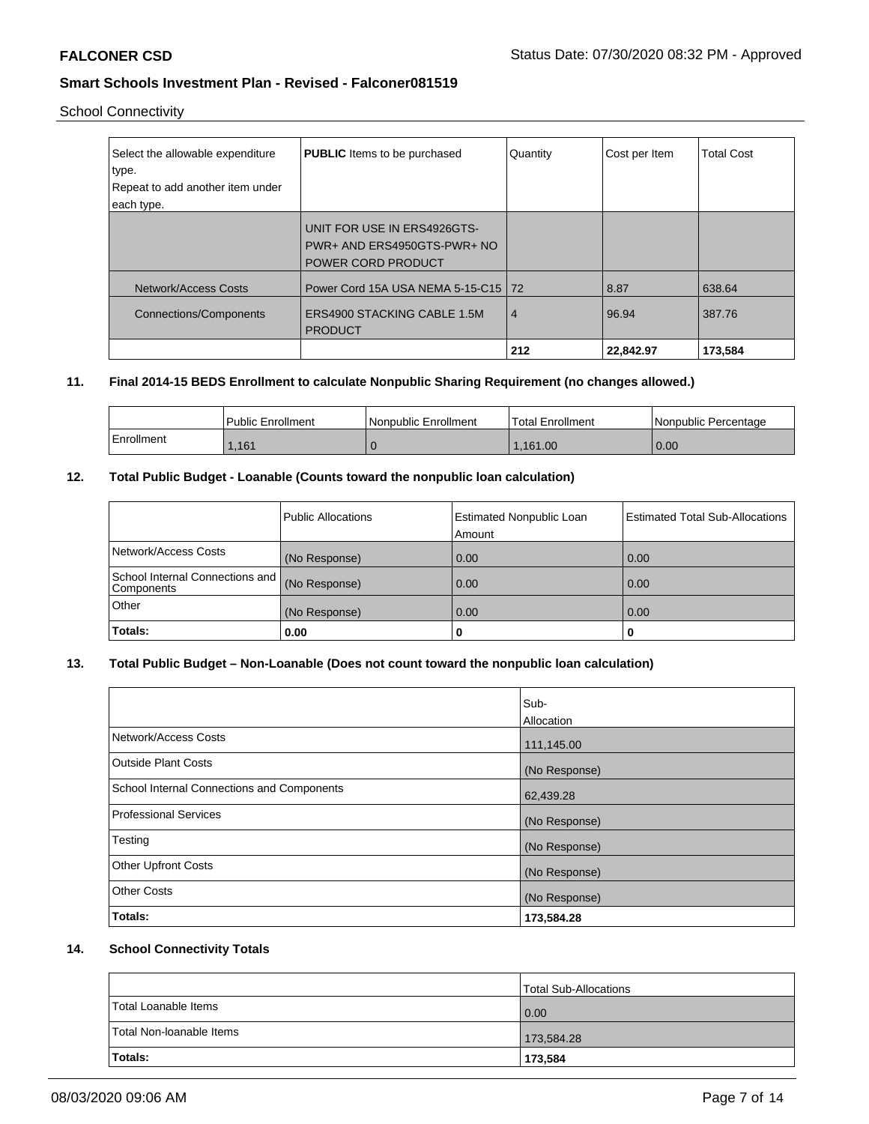# School Connectivity

| Select the allowable expenditure<br>type.<br>Repeat to add another item under<br>each type. | <b>PUBLIC</b> Items to be purchased                                              | Quantity       | Cost per Item | <b>Total Cost</b> |
|---------------------------------------------------------------------------------------------|----------------------------------------------------------------------------------|----------------|---------------|-------------------|
|                                                                                             | UNIT FOR USE IN ERS4926GTS-<br>PWR+ AND ERS4950GTS-PWR+ NO<br>POWER CORD PRODUCT |                |               |                   |
| Network/Access Costs                                                                        | Power Cord 15A USA NEMA 5-15-C15 72                                              |                | 8.87          | 638.64            |
| <b>Connections/Components</b>                                                               | ERS4900 STACKING CABLE 1.5M<br><b>PRODUCT</b>                                    | $\overline{4}$ | 96.94         | 387.76            |
|                                                                                             |                                                                                  | 212            | 22.842.97     | 173,584           |

### **11. Final 2014-15 BEDS Enrollment to calculate Nonpublic Sharing Requirement (no changes allowed.)**

|            | <b>Public Enrollment</b> | Nonpublic Enrollment | <b>Total Enrollment</b> | Nonpublic Percentage |
|------------|--------------------------|----------------------|-------------------------|----------------------|
| Enrollment | .161                     |                      | 1.161.00                | 0.00                 |

### **12. Total Public Budget - Loanable (Counts toward the nonpublic loan calculation)**

|                                               | <b>Public Allocations</b> | <b>Estimated Nonpublic Loan</b><br>Amount | <b>Estimated Total Sub-Allocations</b> |
|-----------------------------------------------|---------------------------|-------------------------------------------|----------------------------------------|
| Network/Access Costs                          | (No Response)             | 0.00                                      | 0.00                                   |
| School Internal Connections and<br>Components | (No Response)             | 0.00                                      | 0.00                                   |
| <b>Other</b>                                  | (No Response)             | 0.00                                      | 0.00                                   |
| Totals:                                       | 0.00                      | u                                         | u                                      |

# **13. Total Public Budget – Non-Loanable (Does not count toward the nonpublic loan calculation)**

|                                                   | Sub-<br>Allocation |
|---------------------------------------------------|--------------------|
| Network/Access Costs                              | 111,145.00         |
| <b>Outside Plant Costs</b>                        | (No Response)      |
| <b>School Internal Connections and Components</b> | 62,439.28          |
| Professional Services                             | (No Response)      |
| Testing                                           | (No Response)      |
| <b>Other Upfront Costs</b>                        | (No Response)      |
| <b>Other Costs</b>                                | (No Response)      |
| <b>Totals:</b>                                    | 173,584.28         |

### **14. School Connectivity Totals**

|                          | Total Sub-Allocations |
|--------------------------|-----------------------|
| Total Loanable Items     | 0.00                  |
| Total Non-Ioanable Items | 173,584.28            |
| Totals:                  | 173,584               |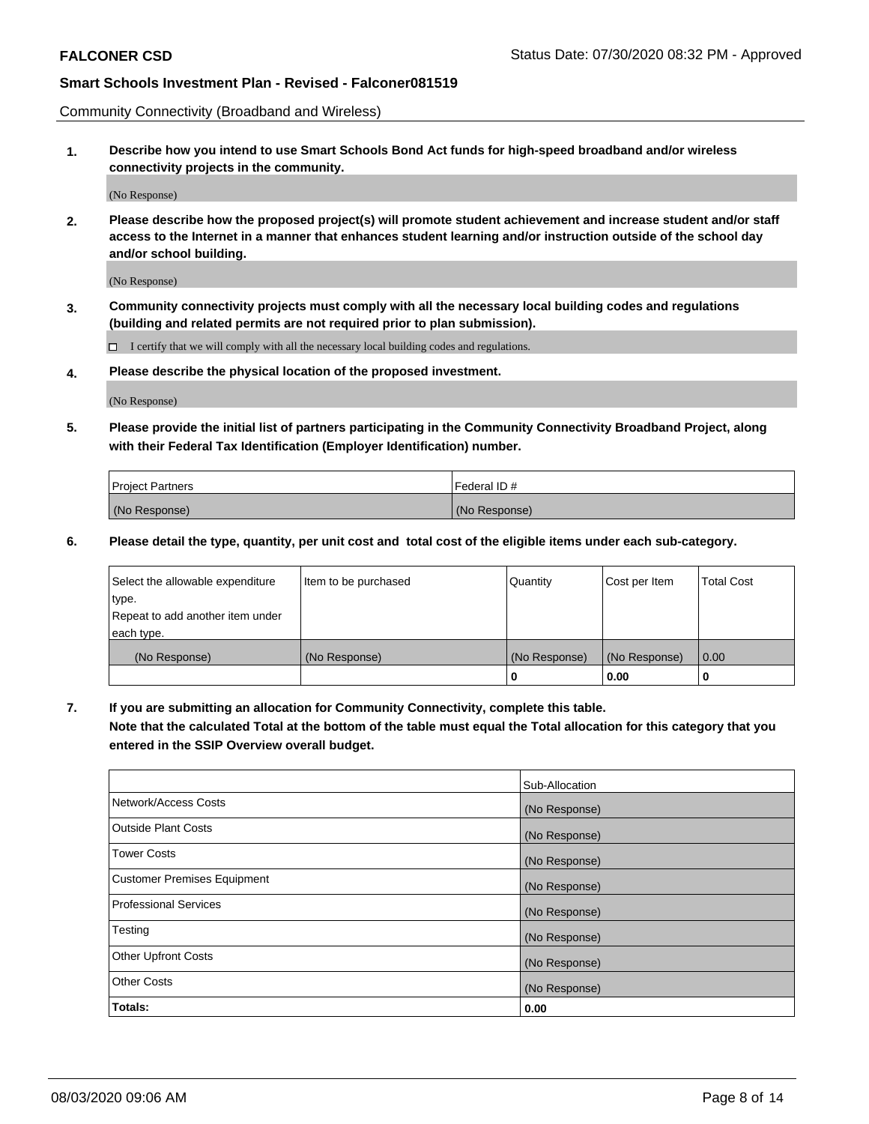Community Connectivity (Broadband and Wireless)

**1. Describe how you intend to use Smart Schools Bond Act funds for high-speed broadband and/or wireless connectivity projects in the community.**

(No Response)

**2. Please describe how the proposed project(s) will promote student achievement and increase student and/or staff access to the Internet in a manner that enhances student learning and/or instruction outside of the school day and/or school building.**

(No Response)

**3. Community connectivity projects must comply with all the necessary local building codes and regulations (building and related permits are not required prior to plan submission).**

 $\Box$  I certify that we will comply with all the necessary local building codes and regulations.

**4. Please describe the physical location of the proposed investment.**

(No Response)

**5. Please provide the initial list of partners participating in the Community Connectivity Broadband Project, along with their Federal Tax Identification (Employer Identification) number.**

| <b>Project Partners</b> | l Federal ID # |
|-------------------------|----------------|
| (No Response)           | (No Response)  |

**6. Please detail the type, quantity, per unit cost and total cost of the eligible items under each sub-category.**

| Select the allowable expenditure | Item to be purchased | Quantity      | Cost per Item | <b>Total Cost</b> |
|----------------------------------|----------------------|---------------|---------------|-------------------|
| type.                            |                      |               |               |                   |
| Repeat to add another item under |                      |               |               |                   |
| each type.                       |                      |               |               |                   |
| (No Response)                    | (No Response)        | (No Response) | (No Response) | 0.00              |
|                                  |                      | o             | 0.00          |                   |

**7. If you are submitting an allocation for Community Connectivity, complete this table.**

**Note that the calculated Total at the bottom of the table must equal the Total allocation for this category that you entered in the SSIP Overview overall budget.**

|                                    | Sub-Allocation |
|------------------------------------|----------------|
| Network/Access Costs               | (No Response)  |
| Outside Plant Costs                | (No Response)  |
| <b>Tower Costs</b>                 | (No Response)  |
| <b>Customer Premises Equipment</b> | (No Response)  |
| <b>Professional Services</b>       | (No Response)  |
| Testing                            | (No Response)  |
| <b>Other Upfront Costs</b>         | (No Response)  |
| <b>Other Costs</b>                 | (No Response)  |
| Totals:                            | 0.00           |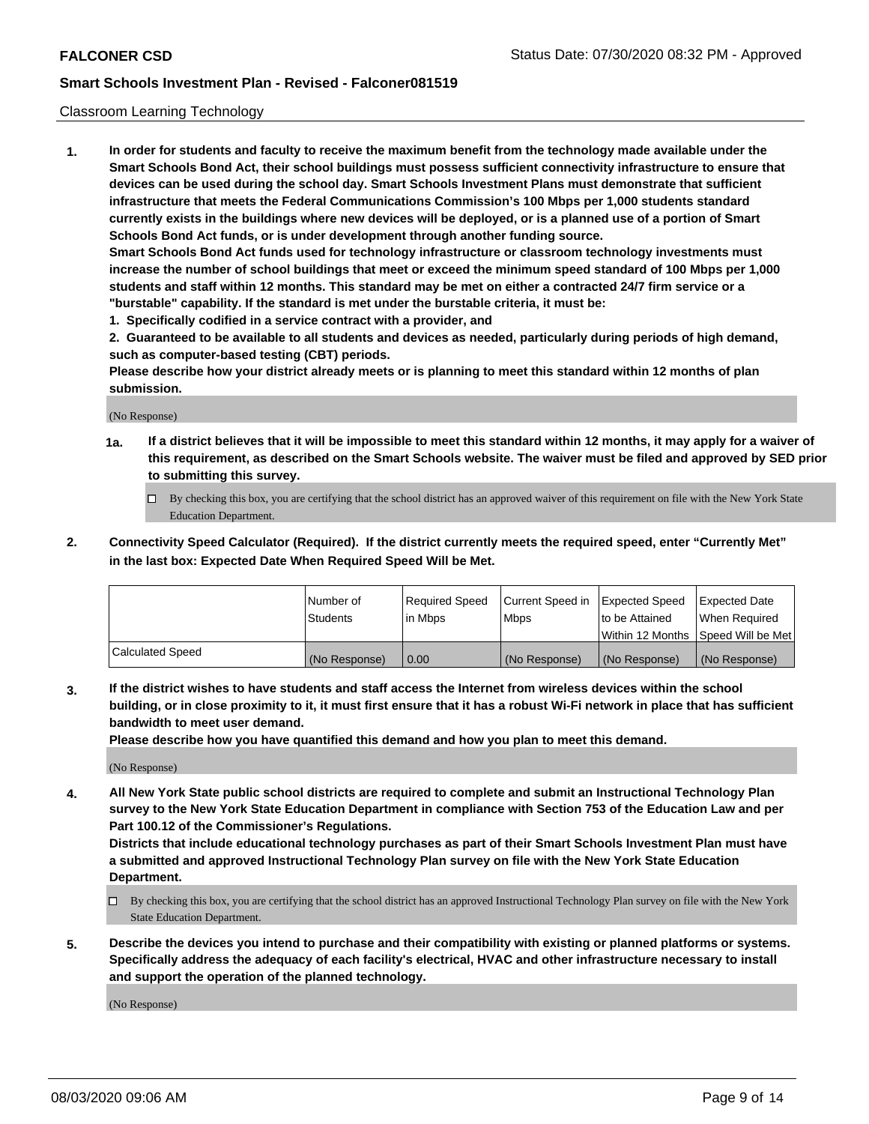#### Classroom Learning Technology

**1. In order for students and faculty to receive the maximum benefit from the technology made available under the Smart Schools Bond Act, their school buildings must possess sufficient connectivity infrastructure to ensure that devices can be used during the school day. Smart Schools Investment Plans must demonstrate that sufficient infrastructure that meets the Federal Communications Commission's 100 Mbps per 1,000 students standard currently exists in the buildings where new devices will be deployed, or is a planned use of a portion of Smart Schools Bond Act funds, or is under development through another funding source. Smart Schools Bond Act funds used for technology infrastructure or classroom technology investments must increase the number of school buildings that meet or exceed the minimum speed standard of 100 Mbps per 1,000 students and staff within 12 months. This standard may be met on either a contracted 24/7 firm service or a**

- **"burstable" capability. If the standard is met under the burstable criteria, it must be:**
- **1. Specifically codified in a service contract with a provider, and**

**2. Guaranteed to be available to all students and devices as needed, particularly during periods of high demand, such as computer-based testing (CBT) periods.**

**Please describe how your district already meets or is planning to meet this standard within 12 months of plan submission.**

(No Response)

- **1a. If a district believes that it will be impossible to meet this standard within 12 months, it may apply for a waiver of this requirement, as described on the Smart Schools website. The waiver must be filed and approved by SED prior to submitting this survey.**
	- By checking this box, you are certifying that the school district has an approved waiver of this requirement on file with the New York State Education Department.
- **2. Connectivity Speed Calculator (Required). If the district currently meets the required speed, enter "Currently Met" in the last box: Expected Date When Required Speed Will be Met.**

|                  | l Number of     | Required Speed | Current Speed in | <b>Expected Speed</b> | <b>Expected Date</b>                |
|------------------|-----------------|----------------|------------------|-----------------------|-------------------------------------|
|                  | <b>Students</b> | l in Mbps      | l Mbps           | to be Attained        | When Required                       |
|                  |                 |                |                  |                       | Within 12 Months  Speed Will be Met |
| Calculated Speed | (No Response)   | 0.00           | (No Response)    | l (No Response)       | (No Response)                       |

**3. If the district wishes to have students and staff access the Internet from wireless devices within the school building, or in close proximity to it, it must first ensure that it has a robust Wi-Fi network in place that has sufficient bandwidth to meet user demand.**

**Please describe how you have quantified this demand and how you plan to meet this demand.**

(No Response)

**4. All New York State public school districts are required to complete and submit an Instructional Technology Plan survey to the New York State Education Department in compliance with Section 753 of the Education Law and per Part 100.12 of the Commissioner's Regulations.**

**Districts that include educational technology purchases as part of their Smart Schools Investment Plan must have a submitted and approved Instructional Technology Plan survey on file with the New York State Education Department.**

- By checking this box, you are certifying that the school district has an approved Instructional Technology Plan survey on file with the New York State Education Department.
- **5. Describe the devices you intend to purchase and their compatibility with existing or planned platforms or systems. Specifically address the adequacy of each facility's electrical, HVAC and other infrastructure necessary to install and support the operation of the planned technology.**

(No Response)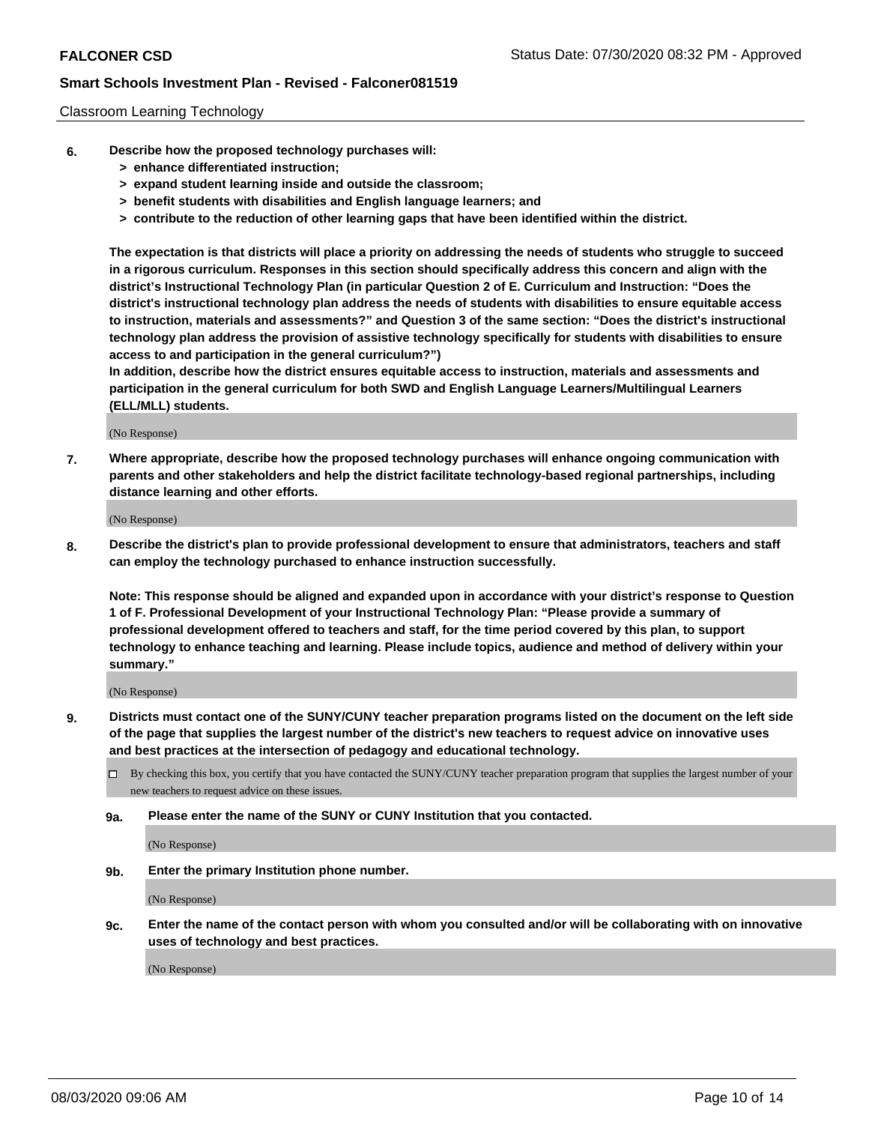#### Classroom Learning Technology

- **6. Describe how the proposed technology purchases will:**
	- **> enhance differentiated instruction;**
	- **> expand student learning inside and outside the classroom;**
	- **> benefit students with disabilities and English language learners; and**
	- **> contribute to the reduction of other learning gaps that have been identified within the district.**

**The expectation is that districts will place a priority on addressing the needs of students who struggle to succeed in a rigorous curriculum. Responses in this section should specifically address this concern and align with the district's Instructional Technology Plan (in particular Question 2 of E. Curriculum and Instruction: "Does the district's instructional technology plan address the needs of students with disabilities to ensure equitable access to instruction, materials and assessments?" and Question 3 of the same section: "Does the district's instructional technology plan address the provision of assistive technology specifically for students with disabilities to ensure access to and participation in the general curriculum?")**

**In addition, describe how the district ensures equitable access to instruction, materials and assessments and participation in the general curriculum for both SWD and English Language Learners/Multilingual Learners (ELL/MLL) students.**

(No Response)

**7. Where appropriate, describe how the proposed technology purchases will enhance ongoing communication with parents and other stakeholders and help the district facilitate technology-based regional partnerships, including distance learning and other efforts.**

(No Response)

**8. Describe the district's plan to provide professional development to ensure that administrators, teachers and staff can employ the technology purchased to enhance instruction successfully.**

**Note: This response should be aligned and expanded upon in accordance with your district's response to Question 1 of F. Professional Development of your Instructional Technology Plan: "Please provide a summary of professional development offered to teachers and staff, for the time period covered by this plan, to support technology to enhance teaching and learning. Please include topics, audience and method of delivery within your summary."**

(No Response)

- **9. Districts must contact one of the SUNY/CUNY teacher preparation programs listed on the document on the left side of the page that supplies the largest number of the district's new teachers to request advice on innovative uses and best practices at the intersection of pedagogy and educational technology.**
	- By checking this box, you certify that you have contacted the SUNY/CUNY teacher preparation program that supplies the largest number of your new teachers to request advice on these issues.
	- **9a. Please enter the name of the SUNY or CUNY Institution that you contacted.**

(No Response)

**9b. Enter the primary Institution phone number.**

(No Response)

**9c. Enter the name of the contact person with whom you consulted and/or will be collaborating with on innovative uses of technology and best practices.**

(No Response)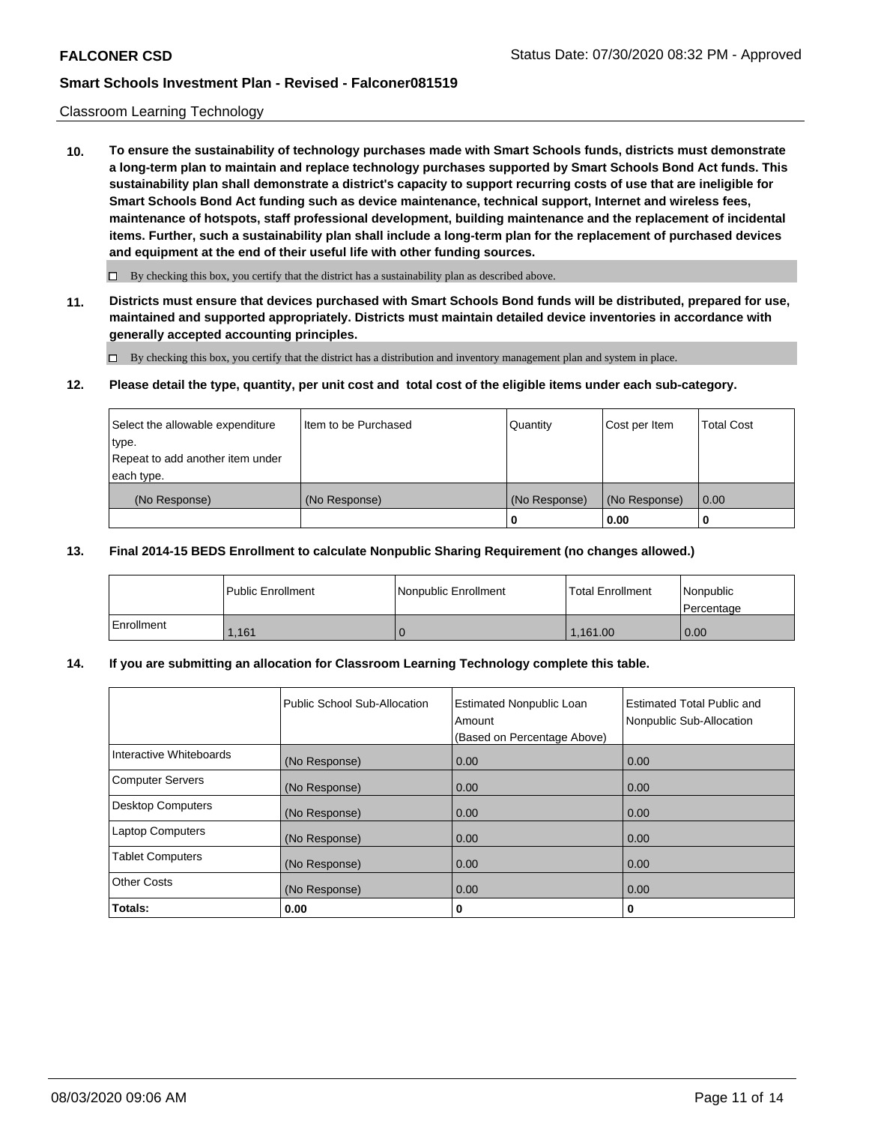#### Classroom Learning Technology

**10. To ensure the sustainability of technology purchases made with Smart Schools funds, districts must demonstrate a long-term plan to maintain and replace technology purchases supported by Smart Schools Bond Act funds. This sustainability plan shall demonstrate a district's capacity to support recurring costs of use that are ineligible for Smart Schools Bond Act funding such as device maintenance, technical support, Internet and wireless fees, maintenance of hotspots, staff professional development, building maintenance and the replacement of incidental items. Further, such a sustainability plan shall include a long-term plan for the replacement of purchased devices and equipment at the end of their useful life with other funding sources.**

 $\Box$  By checking this box, you certify that the district has a sustainability plan as described above.

**11. Districts must ensure that devices purchased with Smart Schools Bond funds will be distributed, prepared for use, maintained and supported appropriately. Districts must maintain detailed device inventories in accordance with generally accepted accounting principles.**

By checking this box, you certify that the district has a distribution and inventory management plan and system in place.

#### **12. Please detail the type, quantity, per unit cost and total cost of the eligible items under each sub-category.**

| Select the allowable expenditure<br>type.<br>Repeat to add another item under | Item to be Purchased | Quantity      | Cost per Item | <b>Total Cost</b> |
|-------------------------------------------------------------------------------|----------------------|---------------|---------------|-------------------|
| each type.<br>(No Response)                                                   | (No Response)        | (No Response) | (No Response) | 0.00              |
|                                                                               |                      | 0             | 0.00          |                   |

#### **13. Final 2014-15 BEDS Enrollment to calculate Nonpublic Sharing Requirement (no changes allowed.)**

|            | l Public Enrollment | <b>INonpublic Enrollment</b> | <b>Total Enrollment</b> | Nonpublic<br>l Percentage |
|------------|---------------------|------------------------------|-------------------------|---------------------------|
| Enrollment | .161                |                              | 1.161.00                | 0.00                      |

#### **14. If you are submitting an allocation for Classroom Learning Technology complete this table.**

|                         | Public School Sub-Allocation | <b>Estimated Nonpublic Loan</b><br>Amount<br>(Based on Percentage Above) | Estimated Total Public and<br>Nonpublic Sub-Allocation |
|-------------------------|------------------------------|--------------------------------------------------------------------------|--------------------------------------------------------|
| Interactive Whiteboards | (No Response)                | 0.00                                                                     | 0.00                                                   |
| Computer Servers        | (No Response)                | 0.00                                                                     | 0.00                                                   |
| Desktop Computers       | (No Response)                | 0.00                                                                     | 0.00                                                   |
| <b>Laptop Computers</b> | (No Response)                | 0.00                                                                     | 0.00                                                   |
| <b>Tablet Computers</b> | (No Response)                | 0.00                                                                     | 0.00                                                   |
| Other Costs             | (No Response)                | 0.00                                                                     | 0.00                                                   |
| Totals:                 | 0.00                         | 0                                                                        | 0                                                      |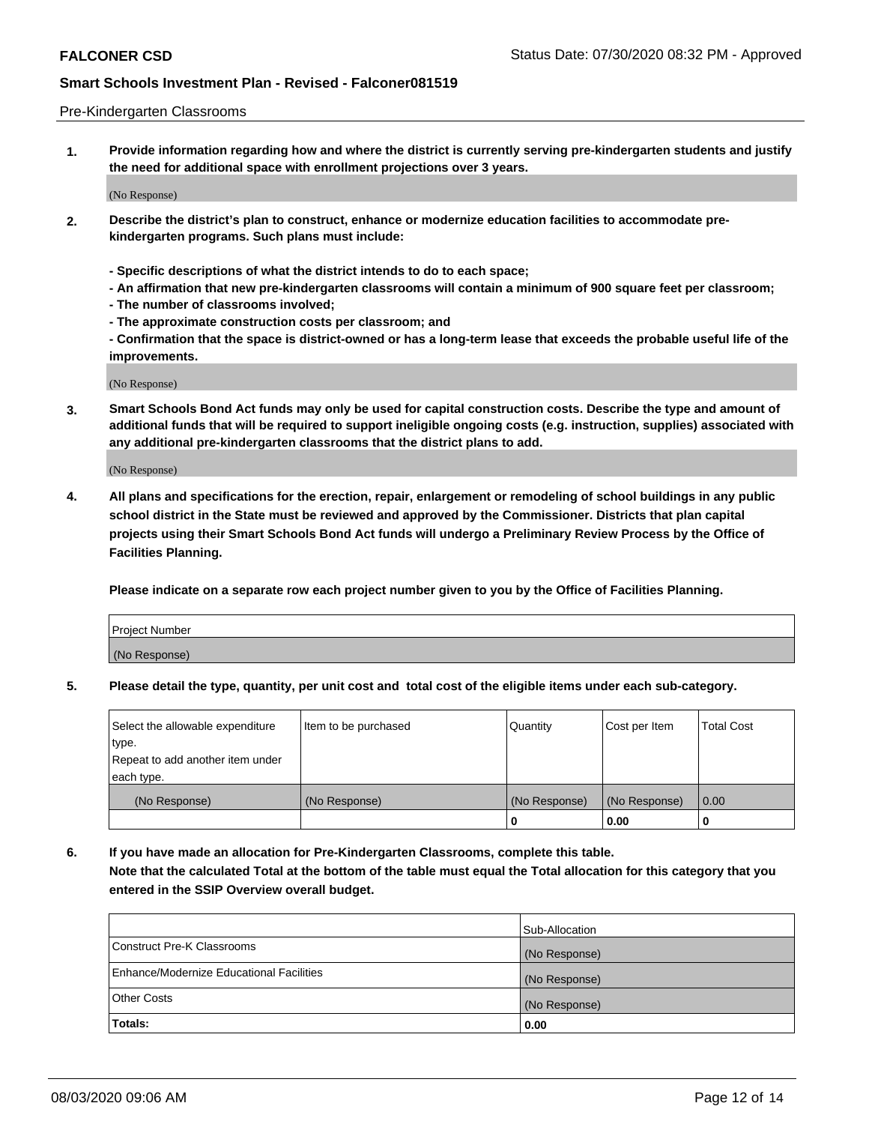#### Pre-Kindergarten Classrooms

**1. Provide information regarding how and where the district is currently serving pre-kindergarten students and justify the need for additional space with enrollment projections over 3 years.**

(No Response)

- **2. Describe the district's plan to construct, enhance or modernize education facilities to accommodate prekindergarten programs. Such plans must include:**
	- **Specific descriptions of what the district intends to do to each space;**
	- **An affirmation that new pre-kindergarten classrooms will contain a minimum of 900 square feet per classroom;**
	- **The number of classrooms involved;**
	- **The approximate construction costs per classroom; and**
	- **Confirmation that the space is district-owned or has a long-term lease that exceeds the probable useful life of the improvements.**

(No Response)

**3. Smart Schools Bond Act funds may only be used for capital construction costs. Describe the type and amount of additional funds that will be required to support ineligible ongoing costs (e.g. instruction, supplies) associated with any additional pre-kindergarten classrooms that the district plans to add.**

(No Response)

**4. All plans and specifications for the erection, repair, enlargement or remodeling of school buildings in any public school district in the State must be reviewed and approved by the Commissioner. Districts that plan capital projects using their Smart Schools Bond Act funds will undergo a Preliminary Review Process by the Office of Facilities Planning.**

**Please indicate on a separate row each project number given to you by the Office of Facilities Planning.**

| Project Number |  |
|----------------|--|
| (No Response)  |  |
|                |  |

**5. Please detail the type, quantity, per unit cost and total cost of the eligible items under each sub-category.**

| Select the allowable expenditure | Item to be purchased | Quantity      | Cost per Item | <b>Total Cost</b> |
|----------------------------------|----------------------|---------------|---------------|-------------------|
| type.                            |                      |               |               |                   |
| Repeat to add another item under |                      |               |               |                   |
| each type.                       |                      |               |               |                   |
| (No Response)                    | (No Response)        | (No Response) | (No Response) | 0.00              |
|                                  |                      | U             | 0.00          |                   |

**6. If you have made an allocation for Pre-Kindergarten Classrooms, complete this table. Note that the calculated Total at the bottom of the table must equal the Total allocation for this category that you entered in the SSIP Overview overall budget.**

|                                          | Sub-Allocation |
|------------------------------------------|----------------|
| Construct Pre-K Classrooms               | (No Response)  |
| Enhance/Modernize Educational Facilities | (No Response)  |
| <b>Other Costs</b>                       | (No Response)  |
| Totals:                                  | 0.00           |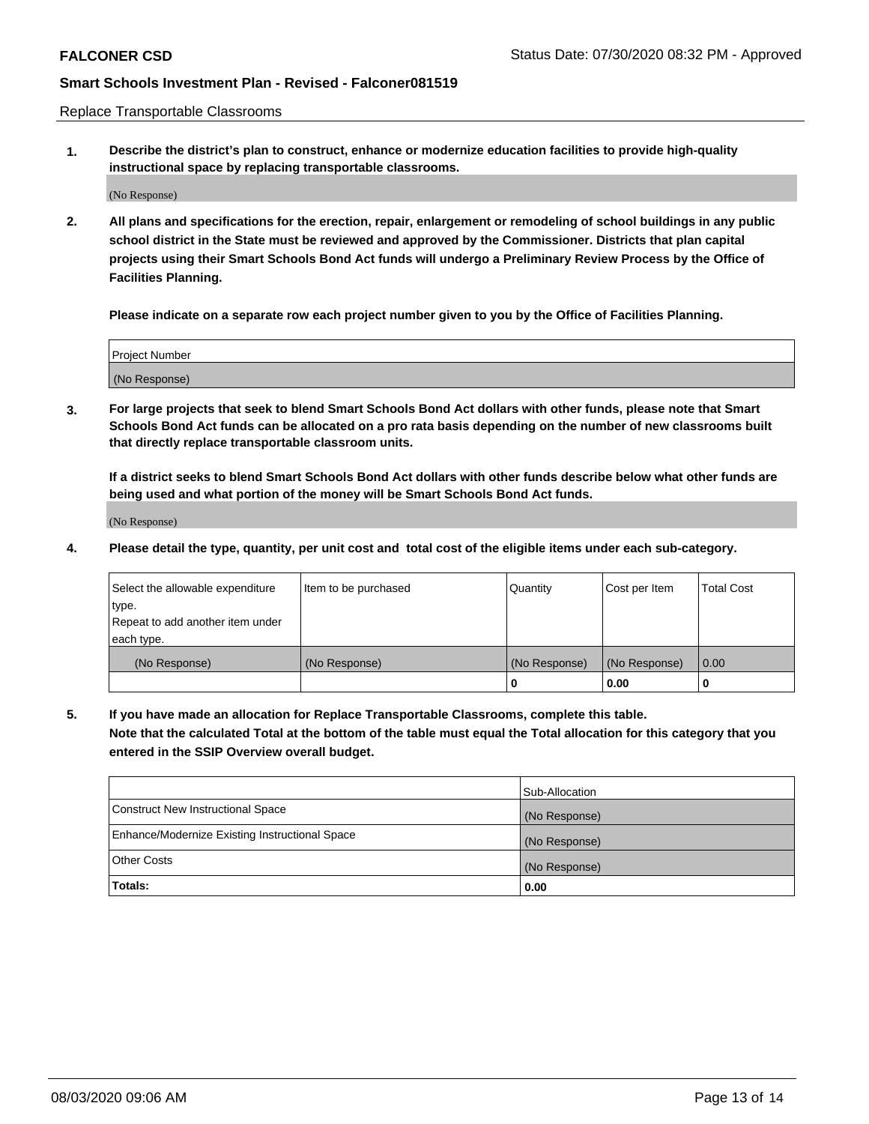Replace Transportable Classrooms

**1. Describe the district's plan to construct, enhance or modernize education facilities to provide high-quality instructional space by replacing transportable classrooms.**

(No Response)

**2. All plans and specifications for the erection, repair, enlargement or remodeling of school buildings in any public school district in the State must be reviewed and approved by the Commissioner. Districts that plan capital projects using their Smart Schools Bond Act funds will undergo a Preliminary Review Process by the Office of Facilities Planning.**

**Please indicate on a separate row each project number given to you by the Office of Facilities Planning.**

| Project Number |  |
|----------------|--|
|                |  |
|                |  |
|                |  |
|                |  |
| (No Response)  |  |
|                |  |
|                |  |
|                |  |

**3. For large projects that seek to blend Smart Schools Bond Act dollars with other funds, please note that Smart Schools Bond Act funds can be allocated on a pro rata basis depending on the number of new classrooms built that directly replace transportable classroom units.**

**If a district seeks to blend Smart Schools Bond Act dollars with other funds describe below what other funds are being used and what portion of the money will be Smart Schools Bond Act funds.**

(No Response)

**4. Please detail the type, quantity, per unit cost and total cost of the eligible items under each sub-category.**

| Select the allowable expenditure<br>∣type.     | Item to be purchased | Quantity      | Cost per Item | Total Cost |
|------------------------------------------------|----------------------|---------------|---------------|------------|
| Repeat to add another item under<br>each type. |                      |               |               |            |
| (No Response)                                  | (No Response)        | (No Response) | (No Response) | 0.00       |
|                                                |                      | u             | 0.00          |            |

**5. If you have made an allocation for Replace Transportable Classrooms, complete this table. Note that the calculated Total at the bottom of the table must equal the Total allocation for this category that you entered in the SSIP Overview overall budget.**

|                                                | Sub-Allocation |
|------------------------------------------------|----------------|
| Construct New Instructional Space              | (No Response)  |
| Enhance/Modernize Existing Instructional Space | (No Response)  |
| Other Costs                                    | (No Response)  |
| Totals:                                        | 0.00           |